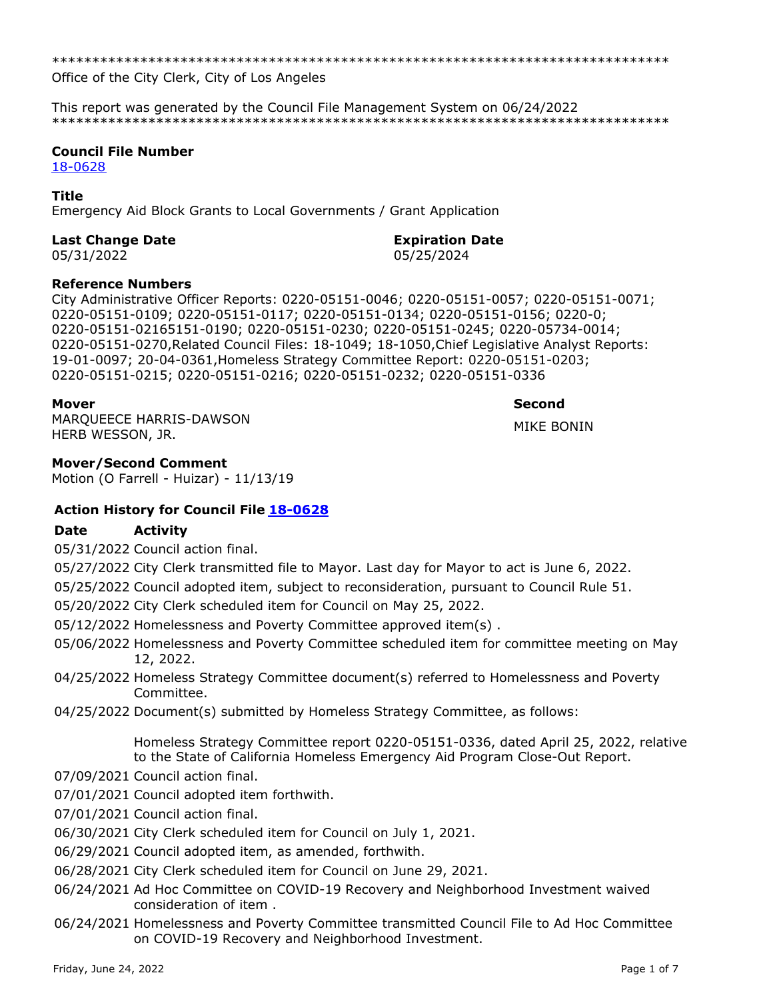\*\*\*\*\*\*\*\*\*\*\*\*\*\*\*\*\*\*\*\*\*\*\*\*\*\*\*\*\*\*\*\*\*\*\*\*\*\*\*\*\*\*\*\*\*\*\*\*\*\*\*\*\*\*\*\*\*\*\*\*\*\*\*\*\*\*\*\*\*\*\*\*\*\*\*\*\*

Office of the City Clerk, City of Los Angeles

This report was generated by the Council File Management System on 06/24/2022 \*\*\*\*\*\*\*\*\*\*\*\*\*\*\*\*\*\*\*\*\*\*\*\*\*\*\*\*\*\*\*\*\*\*\*\*\*\*\*\*\*\*\*\*\*\*\*\*\*\*\*\*\*\*\*\*\*\*\*\*\*\*\*\*\*\*\*\*\*\*\*\*\*\*\*\*\*

### **Council File Number**

[18-0628](https://cityclerk.lacity.org/lacityclerkconnect/index.cfm?fa=ccfi.viewrecord&cfnumber=18-0628)

# **Title**

Emergency Aid Block Grants to Local Governments / Grant Application

# **Last Change Date Expiration Date**

05/31/2022 05/25/2024

# **Reference Numbers**

City Administrative Officer Reports: 0220-05151-0046; 0220-05151-0057; 0220-05151-0071; 0220-05151-0109; 0220-05151-0117; 0220-05151-0134; 0220-05151-0156; 0220-0; 0220-05151-02165151-0190; 0220-05151-0230; 0220-05151-0245; 0220-05734-0014; 0220-05151-0270,Related Council Files: 18-1049; 18-1050,Chief Legislative Analyst Reports: 19-01-0097; 20-04-0361,Homeless Strategy Committee Report: 0220-05151-0203; 0220-05151-0215; 0220-05151-0216; 0220-05151-0232; 0220-05151-0336

### **Mover Second**

MARQUEECE HARRIS-DAWSON HARQUELLE HARRIS-DAWSON<br>HERB WESSON, JR.

# **Mover/Second Comment**

Motion (O Farrell - Huizar) - 11/13/19

# **Action History for Council File [18-0628](https://cityclerk.lacity.org/lacityclerkconnect/index.cfm?fa=ccfi.viewrecord&cfnumber=18-0628)**

# **Date Activity**

05/31/2022 Council action final.

- 05/27/2022 City Clerk transmitted file to Mayor. Last day for Mayor to act is June 6, 2022.
- 05/25/2022 Council adopted item, subject to reconsideration, pursuant to Council Rule 51.
- 05/20/2022 City Clerk scheduled item for Council on May 25, 2022.
- 05/12/2022 Homelessness and Poverty Committee approved item(s) .
- 05/06/2022 Homelessness and Poverty Committee scheduled item for committee meeting on May 12, 2022.
- 04/25/2022 Homeless Strategy Committee document(s) referred to Homelessness and Poverty Committee.
- 04/25/2022 Document(s) submitted by Homeless Strategy Committee, as follows:

Homeless Strategy Committee report 0220-05151-0336, dated April 25, 2022, relative to the State of California Homeless Emergency Aid Program Close-Out Report.

- 07/09/2021 Council action final.
- 07/01/2021 Council adopted item forthwith.
- 07/01/2021 Council action final.
- 06/30/2021 City Clerk scheduled item for Council on July 1, 2021.
- 06/29/2021 Council adopted item, as amended, forthwith.
- 06/28/2021 City Clerk scheduled item for Council on June 29, 2021.
- 06/24/2021 Ad Hoc Committee on COVID-19 Recovery and Neighborhood Investment waived consideration of item .
- 06/24/2021 Homelessness and Poverty Committee transmitted Council File to Ad Hoc Committee on COVID-19 Recovery and Neighborhood Investment.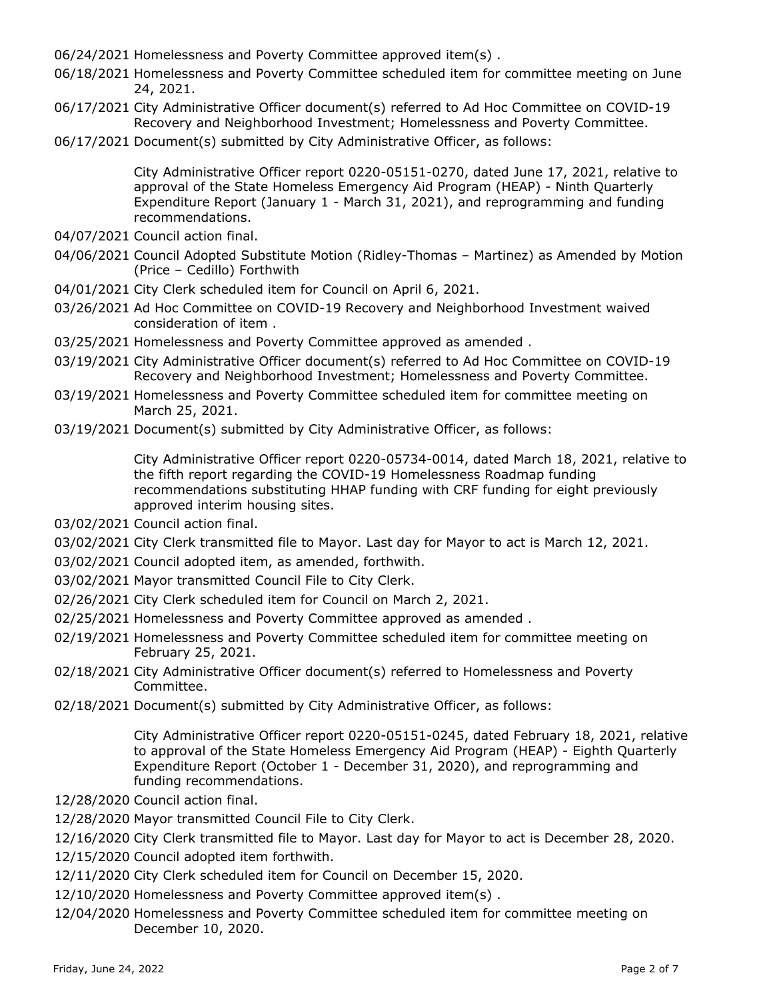06/24/2021 Homelessness and Poverty Committee approved item(s) .

- 06/18/2021 Homelessness and Poverty Committee scheduled item for committee meeting on June 24, 2021.
- 06/17/2021 City Administrative Officer document(s) referred to Ad Hoc Committee on COVID-19 Recovery and Neighborhood Investment; Homelessness and Poverty Committee.
- 06/17/2021 Document(s) submitted by City Administrative Officer, as follows:

City Administrative Officer report 0220-05151-0270, dated June 17, 2021, relative to approval of the State Homeless Emergency Aid Program (HEAP) - Ninth Quarterly Expenditure Report (January 1 - March 31, 2021), and reprogramming and funding recommendations.

- 04/07/2021 Council action final.
- 04/06/2021 Council Adopted Substitute Motion (Ridley-Thomas Martinez) as Amended by Motion (Price – Cedillo) Forthwith
- 04/01/2021 City Clerk scheduled item for Council on April 6, 2021.
- 03/26/2021 Ad Hoc Committee on COVID-19 Recovery and Neighborhood Investment waived consideration of item .
- 03/25/2021 Homelessness and Poverty Committee approved as amended .
- 03/19/2021 City Administrative Officer document(s) referred to Ad Hoc Committee on COVID-19 Recovery and Neighborhood Investment; Homelessness and Poverty Committee.
- 03/19/2021 Homelessness and Poverty Committee scheduled item for committee meeting on March 25, 2021.
- 03/19/2021 Document(s) submitted by City Administrative Officer, as follows:

City Administrative Officer report 0220-05734-0014, dated March 18, 2021, relative to the fifth report regarding the COVID-19 Homelessness Roadmap funding recommendations substituting HHAP funding with CRF funding for eight previously approved interim housing sites.

- 03/02/2021 Council action final.
- 03/02/2021 City Clerk transmitted file to Mayor. Last day for Mayor to act is March 12, 2021.
- 03/02/2021 Council adopted item, as amended, forthwith.
- 03/02/2021 Mayor transmitted Council File to City Clerk.
- 02/26/2021 City Clerk scheduled item for Council on March 2, 2021.
- 02/25/2021 Homelessness and Poverty Committee approved as amended .
- 02/19/2021 Homelessness and Poverty Committee scheduled item for committee meeting on February 25, 2021.
- 02/18/2021 City Administrative Officer document(s) referred to Homelessness and Poverty Committee.
- 02/18/2021 Document(s) submitted by City Administrative Officer, as follows:

City Administrative Officer report 0220-05151-0245, dated February 18, 2021, relative to approval of the State Homeless Emergency Aid Program (HEAP) - Eighth Quarterly Expenditure Report (October 1 - December 31, 2020), and reprogramming and funding recommendations.

- 12/28/2020 Council action final.
- 12/28/2020 Mayor transmitted Council File to City Clerk.
- 12/16/2020 City Clerk transmitted file to Mayor. Last day for Mayor to act is December 28, 2020.
- 12/15/2020 Council adopted item forthwith.
- 12/11/2020 City Clerk scheduled item for Council on December 15, 2020.
- 12/10/2020 Homelessness and Poverty Committee approved item(s) .
- 12/04/2020 Homelessness and Poverty Committee scheduled item for committee meeting on December 10, 2020.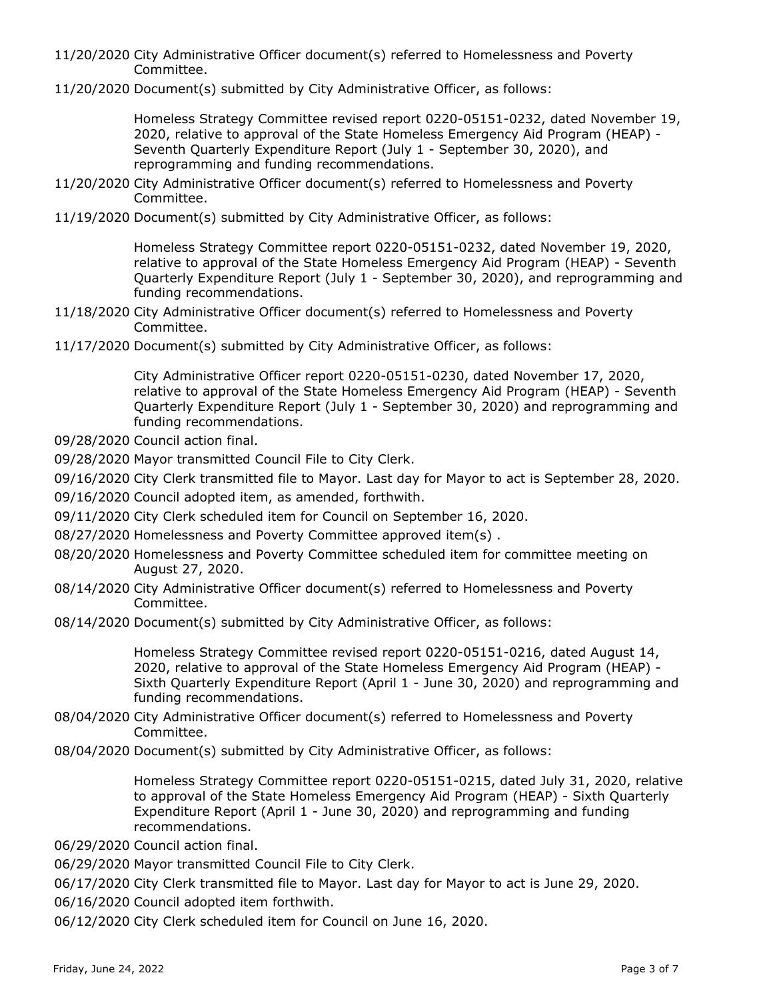- 11/20/2020 City Administrative Officer document(s) referred to Homelessness and Poverty Committee.
- 11/20/2020 Document(s) submitted by City Administrative Officer, as follows:

Homeless Strategy Committee revised report 0220-05151-0232, dated November 19, 2020, relative to approval of the State Homeless Emergency Aid Program (HEAP) - Seventh Quarterly Expenditure Report (July 1 - September 30, 2020), and reprogramming and funding recommendations.

- 11/20/2020 City Administrative Officer document(s) referred to Homelessness and Poverty Committee.
- 11/19/2020 Document(s) submitted by City Administrative Officer, as follows:

Homeless Strategy Committee report 0220-05151-0232, dated November 19, 2020, relative to approval of the State Homeless Emergency Aid Program (HEAP) - Seventh Quarterly Expenditure Report (July 1 - September 30, 2020), and reprogramming and funding recommendations.

- 11/18/2020 City Administrative Officer document(s) referred to Homelessness and Poverty Committee.
- 11/17/2020 Document(s) submitted by City Administrative Officer, as follows:

City Administrative Officer report 0220-05151-0230, dated November 17, 2020, relative to approval of the State Homeless Emergency Aid Program (HEAP) - Seventh Quarterly Expenditure Report (July 1 - September 30, 2020) and reprogramming and funding recommendations.

- 09/28/2020 Council action final.
- 09/28/2020 Mayor transmitted Council File to City Clerk.
- 09/16/2020 City Clerk transmitted file to Mayor. Last day for Mayor to act is September 28, 2020.
- 09/16/2020 Council adopted item, as amended, forthwith.
- 09/11/2020 City Clerk scheduled item for Council on September 16, 2020.
- 08/27/2020 Homelessness and Poverty Committee approved item(s) .
- 08/20/2020 Homelessness and Poverty Committee scheduled item for committee meeting on August 27, 2020.
- 08/14/2020 City Administrative Officer document(s) referred to Homelessness and Poverty Committee.
- 08/14/2020 Document(s) submitted by City Administrative Officer, as follows:

Homeless Strategy Committee revised report 0220-05151-0216, dated August 14, 2020, relative to approval of the State Homeless Emergency Aid Program (HEAP) - Sixth Quarterly Expenditure Report (April 1 - June 30, 2020) and reprogramming and funding recommendations.

- 08/04/2020 City Administrative Officer document(s) referred to Homelessness and Poverty Committee.
- 08/04/2020 Document(s) submitted by City Administrative Officer, as follows:

Homeless Strategy Committee report 0220-05151-0215, dated July 31, 2020, relative to approval of the State Homeless Emergency Aid Program (HEAP) - Sixth Quarterly Expenditure Report (April 1 - June 30, 2020) and reprogramming and funding recommendations.

06/29/2020 Council action final.

06/29/2020 Mayor transmitted Council File to City Clerk.

06/17/2020 City Clerk transmitted file to Mayor. Last day for Mayor to act is June 29, 2020.

06/16/2020 Council adopted item forthwith.

06/12/2020 City Clerk scheduled item for Council on June 16, 2020.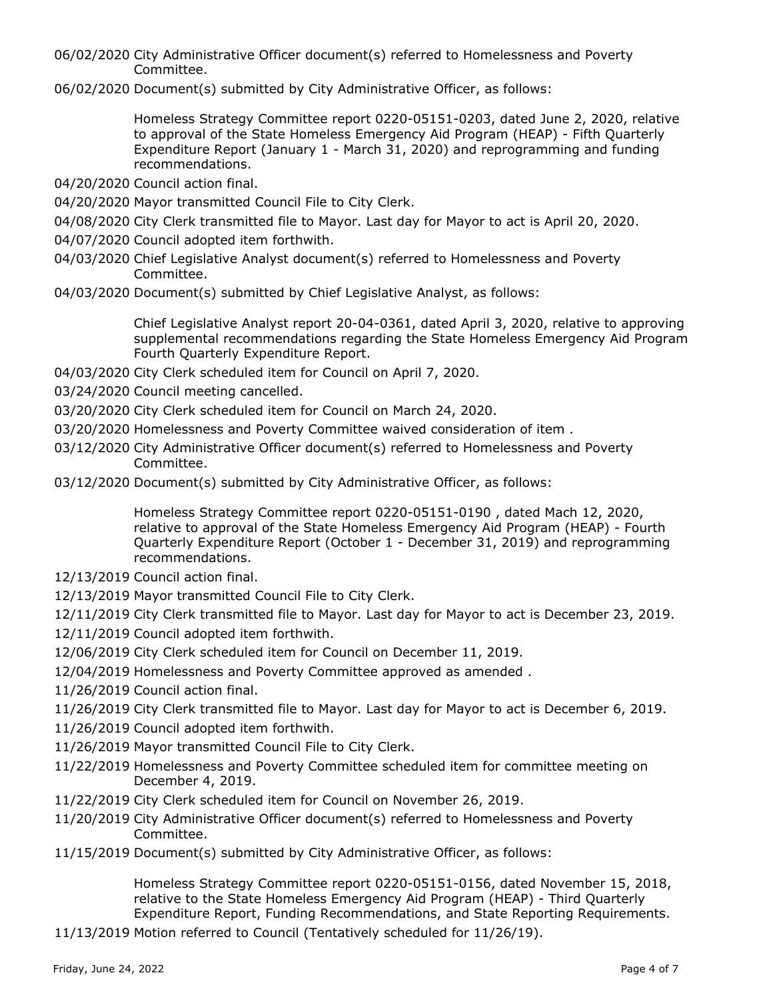06/02/2020 City Administrative Officer document(s) referred to Homelessness and Poverty Committee.

06/02/2020 Document(s) submitted by City Administrative Officer, as follows:

Homeless Strategy Committee report 0220-05151-0203, dated June 2, 2020, relative to approval of the State Homeless Emergency Aid Program (HEAP) - Fifth Quarterly Expenditure Report (January 1 - March 31, 2020) and reprogramming and funding recommendations.

- 04/20/2020 Council action final.
- 04/20/2020 Mayor transmitted Council File to City Clerk.
- 04/08/2020 City Clerk transmitted file to Mayor. Last day for Mayor to act is April 20, 2020.
- 04/07/2020 Council adopted item forthwith.
- 04/03/2020 Chief Legislative Analyst document(s) referred to Homelessness and Poverty Committee.
- 04/03/2020 Document(s) submitted by Chief Legislative Analyst, as follows:

Chief Legislative Analyst report 20-04-0361, dated April 3, 2020, relative to approving supplemental recommendations regarding the State Homeless Emergency Aid Program Fourth Quarterly Expenditure Report.

- 04/03/2020 City Clerk scheduled item for Council on April 7, 2020.
- 03/24/2020 Council meeting cancelled.
- 03/20/2020 City Clerk scheduled item for Council on March 24, 2020.
- 03/20/2020 Homelessness and Poverty Committee waived consideration of item .
- 03/12/2020 City Administrative Officer document(s) referred to Homelessness and Poverty Committee.
- 03/12/2020 Document(s) submitted by City Administrative Officer, as follows:

Homeless Strategy Committee report 0220-05151-0190 , dated Mach 12, 2020, relative to approval of the State Homeless Emergency Aid Program (HEAP) - Fourth Quarterly Expenditure Report (October 1 - December 31, 2019) and reprogramming recommendations.

- 12/13/2019 Council action final.
- 12/13/2019 Mayor transmitted Council File to City Clerk.
- 12/11/2019 City Clerk transmitted file to Mayor. Last day for Mayor to act is December 23, 2019.
- 12/11/2019 Council adopted item forthwith.
- 12/06/2019 City Clerk scheduled item for Council on December 11, 2019.
- 12/04/2019 Homelessness and Poverty Committee approved as amended .
- 11/26/2019 Council action final.
- 11/26/2019 City Clerk transmitted file to Mayor. Last day for Mayor to act is December 6, 2019.
- 11/26/2019 Council adopted item forthwith.
- 11/26/2019 Mayor transmitted Council File to City Clerk.
- 11/22/2019 Homelessness and Poverty Committee scheduled item for committee meeting on December 4, 2019.
- 11/22/2019 City Clerk scheduled item for Council on November 26, 2019.
- 11/20/2019 City Administrative Officer document(s) referred to Homelessness and Poverty Committee.
- 11/15/2019 Document(s) submitted by City Administrative Officer, as follows:

Homeless Strategy Committee report 0220-05151-0156, dated November 15, 2018, relative to the State Homeless Emergency Aid Program (HEAP) - Third Quarterly Expenditure Report, Funding Recommendations, and State Reporting Requirements.

11/13/2019 Motion referred to Council (Tentatively scheduled for 11/26/19).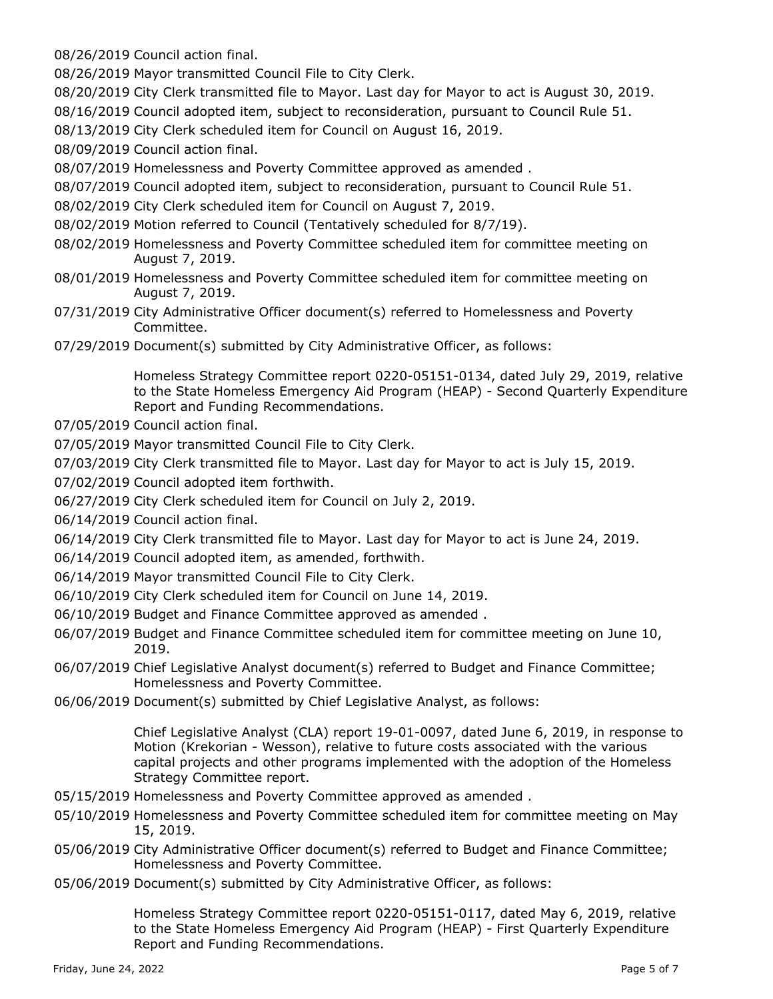08/26/2019 Council action final.

08/26/2019 Mayor transmitted Council File to City Clerk.

- 08/20/2019 City Clerk transmitted file to Mayor. Last day for Mayor to act is August 30, 2019.
- 08/16/2019 Council adopted item, subject to reconsideration, pursuant to Council Rule 51.

08/13/2019 City Clerk scheduled item for Council on August 16, 2019.

08/09/2019 Council action final.

08/07/2019 Homelessness and Poverty Committee approved as amended .

- 08/07/2019 Council adopted item, subject to reconsideration, pursuant to Council Rule 51.
- 08/02/2019 City Clerk scheduled item for Council on August 7, 2019.
- 08/02/2019 Motion referred to Council (Tentatively scheduled for 8/7/19).
- 08/02/2019 Homelessness and Poverty Committee scheduled item for committee meeting on August 7, 2019.
- 08/01/2019 Homelessness and Poverty Committee scheduled item for committee meeting on August 7, 2019.
- 07/31/2019 City Administrative Officer document(s) referred to Homelessness and Poverty Committee.
- 07/29/2019 Document(s) submitted by City Administrative Officer, as follows:

Homeless Strategy Committee report 0220-05151-0134, dated July 29, 2019, relative to the State Homeless Emergency Aid Program (HEAP) - Second Quarterly Expenditure Report and Funding Recommendations.

- 07/05/2019 Council action final.
- 07/05/2019 Mayor transmitted Council File to City Clerk.
- 07/03/2019 City Clerk transmitted file to Mayor. Last day for Mayor to act is July 15, 2019.
- 07/02/2019 Council adopted item forthwith.
- 06/27/2019 City Clerk scheduled item for Council on July 2, 2019.
- 06/14/2019 Council action final.
- 06/14/2019 City Clerk transmitted file to Mayor. Last day for Mayor to act is June 24, 2019.
- 06/14/2019 Council adopted item, as amended, forthwith.
- 06/14/2019 Mayor transmitted Council File to City Clerk.
- 06/10/2019 City Clerk scheduled item for Council on June 14, 2019.
- 06/10/2019 Budget and Finance Committee approved as amended .
- 06/07/2019 Budget and Finance Committee scheduled item for committee meeting on June 10, 2019.
- 06/07/2019 Chief Legislative Analyst document(s) referred to Budget and Finance Committee; Homelessness and Poverty Committee.
- 06/06/2019 Document(s) submitted by Chief Legislative Analyst, as follows:

Chief Legislative Analyst (CLA) report 19-01-0097, dated June 6, 2019, in response to Motion (Krekorian - Wesson), relative to future costs associated with the various capital projects and other programs implemented with the adoption of the Homeless Strategy Committee report.

- 05/15/2019 Homelessness and Poverty Committee approved as amended .
- 05/10/2019 Homelessness and Poverty Committee scheduled item for committee meeting on May 15, 2019.
- 05/06/2019 City Administrative Officer document(s) referred to Budget and Finance Committee; Homelessness and Poverty Committee.
- 05/06/2019 Document(s) submitted by City Administrative Officer, as follows:

Homeless Strategy Committee report 0220-05151-0117, dated May 6, 2019, relative to the State Homeless Emergency Aid Program (HEAP) - First Quarterly Expenditure Report and Funding Recommendations.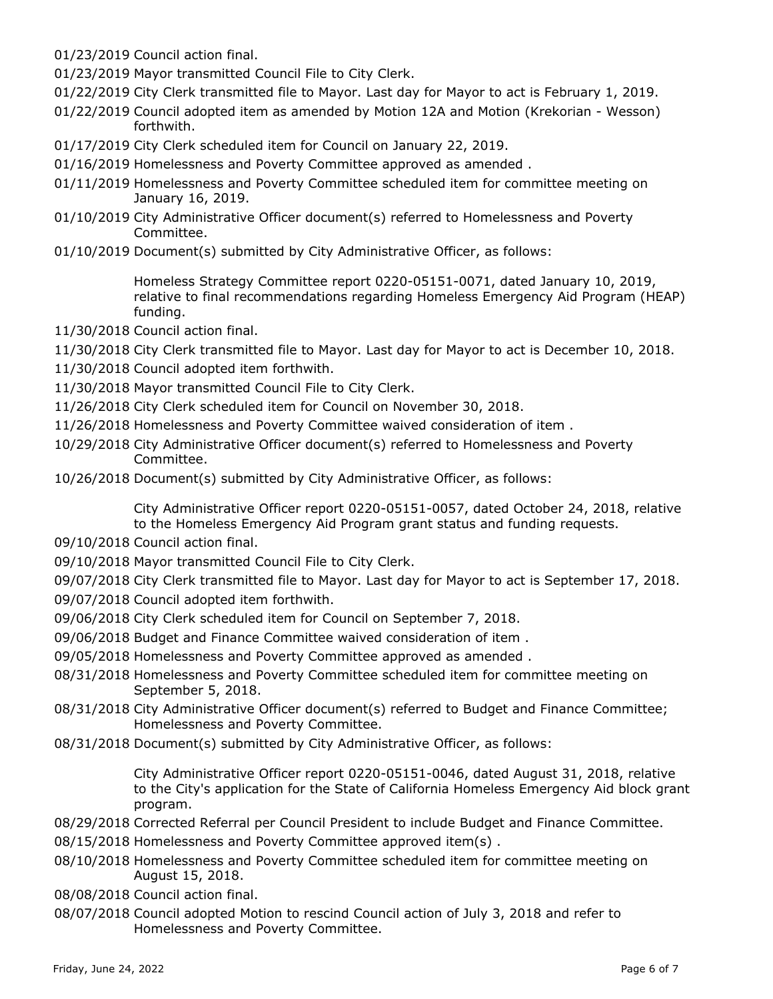01/23/2019 Council action final.

01/23/2019 Mayor transmitted Council File to City Clerk.

- 01/22/2019 City Clerk transmitted file to Mayor. Last day for Mayor to act is February 1, 2019.
- 01/22/2019 Council adopted item as amended by Motion 12A and Motion (Krekorian Wesson) forthwith.
- 01/17/2019 City Clerk scheduled item for Council on January 22, 2019.
- 01/16/2019 Homelessness and Poverty Committee approved as amended .
- 01/11/2019 Homelessness and Poverty Committee scheduled item for committee meeting on January 16, 2019.
- 01/10/2019 City Administrative Officer document(s) referred to Homelessness and Poverty Committee.
- 01/10/2019 Document(s) submitted by City Administrative Officer, as follows:

Homeless Strategy Committee report 0220-05151-0071, dated January 10, 2019, relative to final recommendations regarding Homeless Emergency Aid Program (HEAP) funding.

- 11/30/2018 Council action final.
- 11/30/2018 City Clerk transmitted file to Mayor. Last day for Mayor to act is December 10, 2018.
- 11/30/2018 Council adopted item forthwith.
- 11/30/2018 Mayor transmitted Council File to City Clerk.
- 11/26/2018 City Clerk scheduled item for Council on November 30, 2018.
- 11/26/2018 Homelessness and Poverty Committee waived consideration of item .
- 10/29/2018 City Administrative Officer document(s) referred to Homelessness and Poverty Committee.
- 10/26/2018 Document(s) submitted by City Administrative Officer, as follows:

City Administrative Officer report 0220-05151-0057, dated October 24, 2018, relative to the Homeless Emergency Aid Program grant status and funding requests.

- 09/10/2018 Council action final.
- 09/10/2018 Mayor transmitted Council File to City Clerk.
- 09/07/2018 City Clerk transmitted file to Mayor. Last day for Mayor to act is September 17, 2018.
- 09/07/2018 Council adopted item forthwith.
- 09/06/2018 City Clerk scheduled item for Council on September 7, 2018.
- 09/06/2018 Budget and Finance Committee waived consideration of item .
- 09/05/2018 Homelessness and Poverty Committee approved as amended .
- 08/31/2018 Homelessness and Poverty Committee scheduled item for committee meeting on September 5, 2018.
- 08/31/2018 City Administrative Officer document(s) referred to Budget and Finance Committee; Homelessness and Poverty Committee.
- 08/31/2018 Document(s) submitted by City Administrative Officer, as follows:

City Administrative Officer report 0220-05151-0046, dated August 31, 2018, relative to the City's application for the State of California Homeless Emergency Aid block grant program.

- 08/29/2018 Corrected Referral per Council President to include Budget and Finance Committee.
- 08/15/2018 Homelessness and Poverty Committee approved item(s) .
- 08/10/2018 Homelessness and Poverty Committee scheduled item for committee meeting on August 15, 2018.

08/08/2018 Council action final.

08/07/2018 Council adopted Motion to rescind Council action of July 3, 2018 and refer to Homelessness and Poverty Committee.